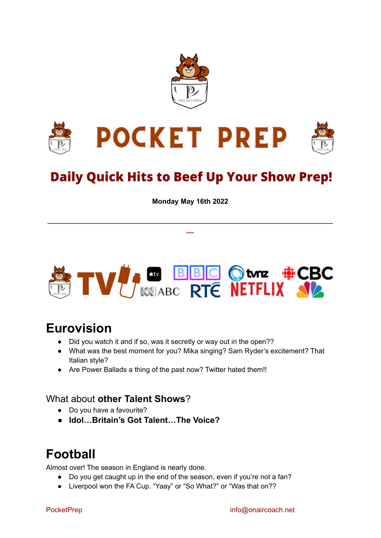



# **Daily Quick Hits to Beef Up Your Show Prep!**

**Monday May 16th 2022**

**\_\_\_\_\_\_\_\_\_\_\_\_\_\_\_\_\_\_\_\_\_\_\_\_\_\_\_\_\_\_\_\_\_\_\_\_\_\_\_\_\_\_\_\_\_\_\_\_\_\_\_\_\_\_\_\_\_\_\_\_\_\_\_\_\_\_\_\_\_\_\_\_\_ \_\_**



## **Eurovision**

- Did you watch it and if so, was it secretly or way out in the open??
- What was the best moment for you? Mika singing? Sam Ryder's excitement? That Italian style?
- Are Power Ballads a thing of the past now? Twitter hated them!!

#### What about **other Talent Shows**?

- Do you have a favourite?
- **● Idol…Britain's Got Talent…The Voice?**

## **Football**

Almost over! The season in England is nearly done.

- Do you get caught up in the end of the season, even if you're not a fan?
- Liverpool won the FA Cup. "Yaay" or "So What?" or "Was that on??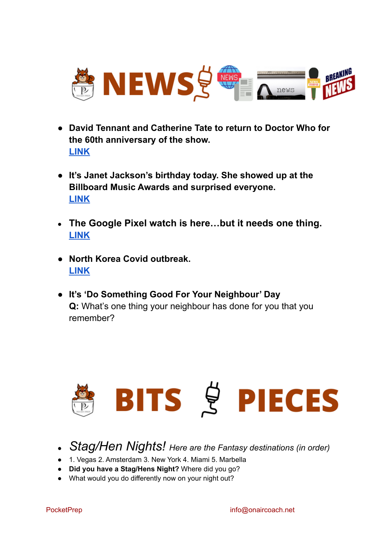

- **● David Tennant and Catherine Tate to return to Doctor Who for the 60th anniversary of the show. [LINK](https://www.theverge.com/2022/5/15/23074041/david-tennant-catherine-tate-return-doctor-who-60th-anniversary/2022/05/11/palm-beach-international-passenger-landing/)**
- **● It's Janet Jackson's birthday today. She showed up at the Billboard Music Awards and surprised everyone. [LINK](https://www.yahoo.com/entertainment/janet-jackson-makes-surprise-billboard-music-awards-appearance-to-honor-fellow-icon-mary-j-blige-055510880.html?guccounter=1&guce_referrer=aHR0cHM6Ly9uZXdzLmdvb2dsZS5jb20v&guce_referrer_sig=AQAAAIvdLtPDvA5e2_j4eWnScOBlJKsT-dOlhrP0bIuHR6Qq_5x4i5xezPL59tmVNteeEIB_PfxWA3ZMM5CdLjTfBJOx7uLq4WrmrIhLSjbKVyQw9drGOQ9v37PAS4YHmNUB4HQvBh78s15YwwAmx4taKtyHh_FXDyw7imhIgO0X_oEZKVYiK8Z0)**
- **● The Google Pixel watch is here…but it needs one thing. [LINK](https://www.androidcentral.com/wearables/does-pixel-watch-old-hardware-matter802211/NewProfilePic-Warning-issued-viral-app-hoover-data-sends-Moscow.html)**
- **● North Korea Covid outbreak. [LINK](https://www.washingtonpost.com/world/2022/05/16/north-korea-coronavirus-outbreak-kim-criticism/-ukraine-through-to-final-and-still-on-track-to-win-contest-as-commentator-broadcasts-from-bomb-shelter-12610071)**
- **● It's 'Do Something Good For Your Neighbour' Day Q:** What's one thing your neighbour has done for you that you remember?



- *Stag/Hen Nights! Here are the Fantasy destinations (in order)*
- 1. Vegas 2. Amsterdam 3. New York 4. Miami 5. Marbella
- **Did you have a Stag/Hens Night?** Where did you go?
- What would you do differently now on your night out?